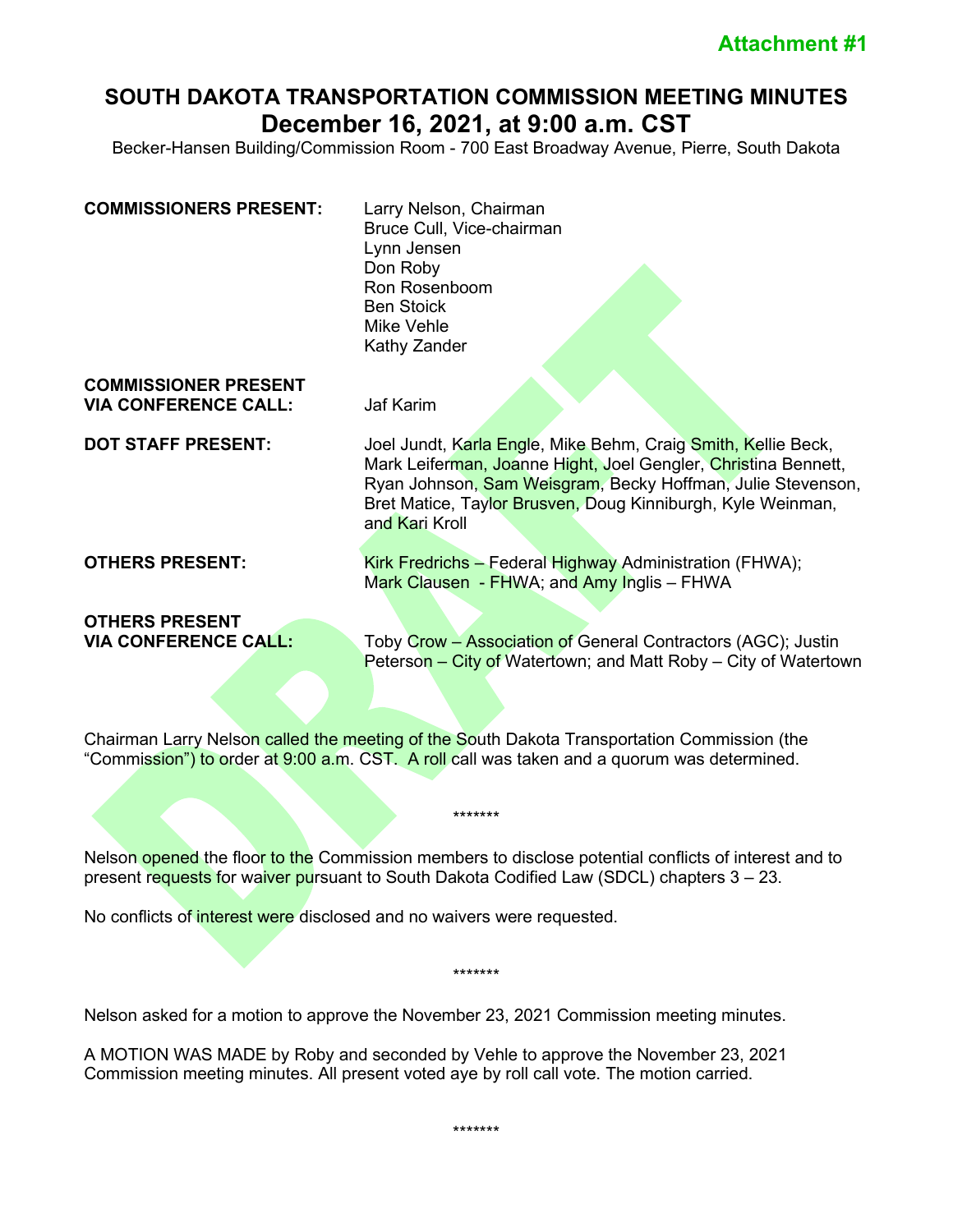# **SOUTH DAKOTA TRANSPORTATION COMMISSION MEETING MINUTES December 16, 2021, at 9:00 a.m. CST**

Becker-Hansen Building/Commission Room - 700 East Broadway Avenue, Pierre, South Dakota

| <b>COMMISSIONERS PRESENT:</b>                              | Larry Nelson, Chairman<br>Bruce Cull, Vice-chairman<br>Lynn Jensen<br>Don Roby<br>Ron Rosenboom<br><b>Ben Stoick</b><br><b>Mike Vehle</b><br>Kathy Zander                                                                                                                       |
|------------------------------------------------------------|---------------------------------------------------------------------------------------------------------------------------------------------------------------------------------------------------------------------------------------------------------------------------------|
| <b>COMMISSIONER PRESENT</b><br><b>VIA CONFERENCE CALL:</b> | <b>Jaf Karim</b>                                                                                                                                                                                                                                                                |
| <b>DOT STAFF PRESENT:</b>                                  | Joel Jundt, Karla Engle, Mike Behm, Craig Smith, Kellie Beck,<br>Mark Leiferman, Joanne Hight, Joel Gengler, Christina Bennett,<br>Ryan Johnson, Sam Weisgram, Becky Hoffman, Julie Stevenson,<br>Bret Matice, Taylor Brusven, Doug Kinniburgh, Kyle Weinman,<br>and Kari Kroll |
| <b>OTHERS PRESENT:</b>                                     | Kirk Fredrichs - Federal Highway Administration (FHWA);<br>Mark Clausen - FHWA; and Amy Inglis - FHWA                                                                                                                                                                           |
| <b>OTHERS PRESENT</b><br><b>VIA CONFERENCE CALL:</b>       | Toby Crow - Association of General Contractors (AGC); Justin<br>Peterson – City of Watertown; and Matt Roby – City of Watertown                                                                                                                                                 |

Chairman Larry Nelson called the meeting of the South Dakota Transportation Commission (the "Commission") to order at 9:00 a.m. CST. A roll call was taken and a quorum was determined.

Nelson opened the floor to the Commission members to disclose potential conflicts of interest and to present requests for waiver pursuant to South Dakota Codified Law (SDCL) chapters 3 – 23.

\*\*\*\*\*\*\*

\*\*\*\*\*\*\*

No conflicts of interest were disclosed and no waivers were requested.

Nelson asked for a motion to approve the November 23, 2021 Commission meeting minutes.

A MOTION WAS MADE by Roby and seconded by Vehle to approve the November 23, 2021 Commission meeting minutes. All present voted aye by roll call vote. The motion carried.

\*\*\*\*\*\*\*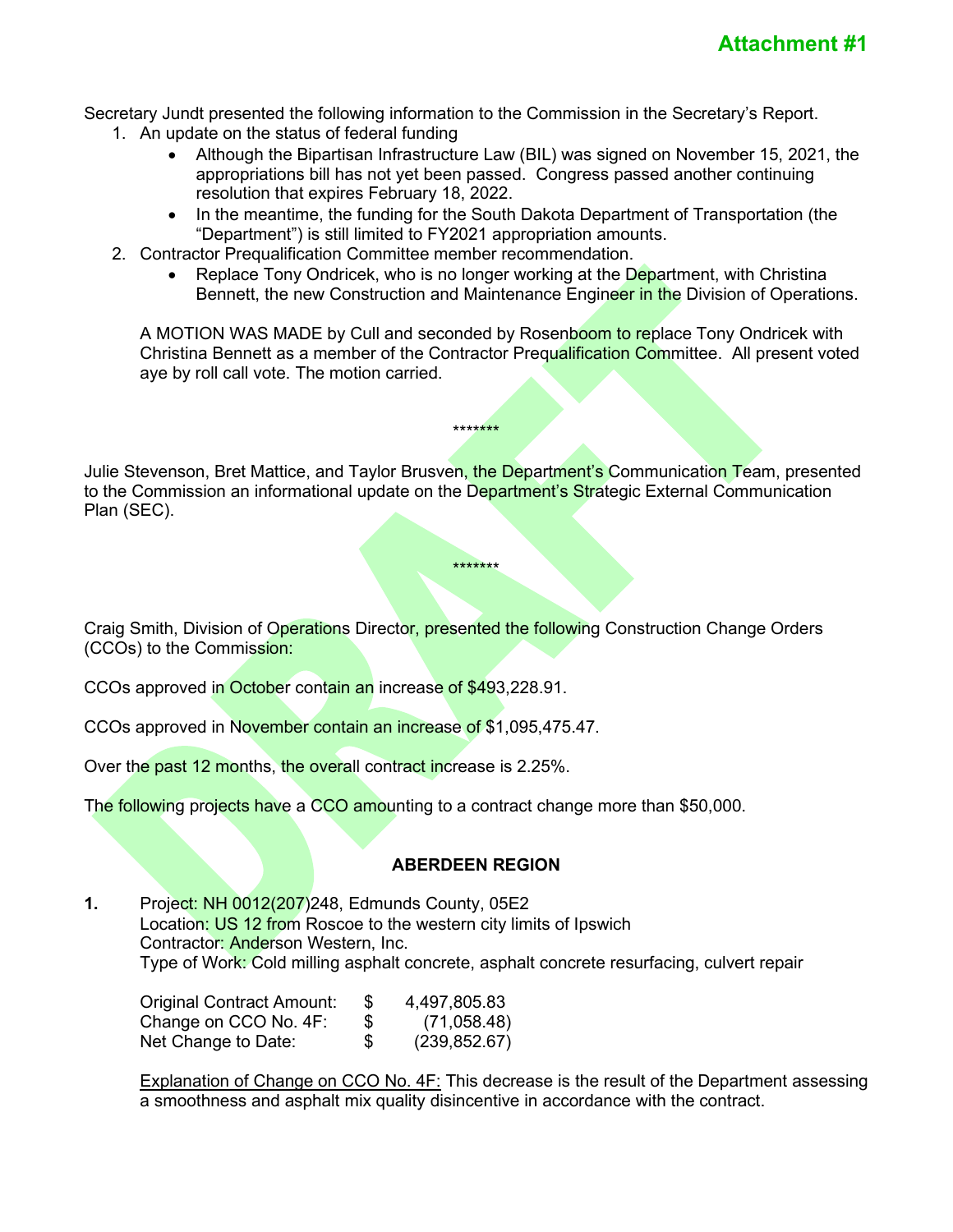Secretary Jundt presented the following information to the Commission in the Secretary's Report.

- 1. An update on the status of federal funding
	- Although the Bipartisan Infrastructure Law (BIL) was signed on November 15, 2021, the appropriations bill has not yet been passed. Congress passed another continuing resolution that expires February 18, 2022.
	- In the meantime, the funding for the South Dakota Department of Transportation (the "Department") is still limited to FY2021 appropriation amounts.
- 2. Contractor Prequalification Committee member recommendation.
	- Replace Tony Ondricek, who is no longer working at the Department, with Christina Bennett, the new Construction and Maintenance Engineer in the Division of Operations.

A MOTION WAS MADE by Cull and seconded by Rosenboom to replace Tony Ondricek with Christina Bennett as a member of the Contractor Prequalification Committee. All present voted aye by roll call vote. The motion carried.

Julie Stevenson, Bret Mattice, and Taylor Brusven, the Department's Communication Team, presented to the Commission an informational update on the Department's Strategic External Communication Plan (SEC).

\*\*\*\*\*\*\*

\*\*\*\*\*\*\*

Craig Smith, Division of Operations Director, presented the following Construction Change Orders (CCOs) to the Commission:

CCOs approved in October contain an increase of \$493,228.91.

CCOs approved in November contain an increase of \$1,095,475.47.

Over the past 12 months, the overall contract increase is 2.25%.

The following projects have a CCO amounting to a contract change more than \$50,000.

# **ABERDEEN REGION**

**1.** Project: NH 0012(207)248, Edmunds County, 05E2 Location: US 12 from Roscoe to the western city limits of Ipswich Contractor: Anderson Western, Inc. Type of Work: Cold milling asphalt concrete, asphalt concrete resurfacing, culvert repair

Original Contract Amount:  $$ 4,497,805.83$ <br>Change on CCO No. 4F:  $$ 71.058.48$ Change on CCO No. 4F:  $$$  (71,058.48)<br>Net Change to Date:  $$$  (239.852.67) Net Change to Date: \$ (239,852.67)

Explanation of Change on CCO No. 4F: This decrease is the result of the Department assessing a smoothness and asphalt mix quality disincentive in accordance with the contract.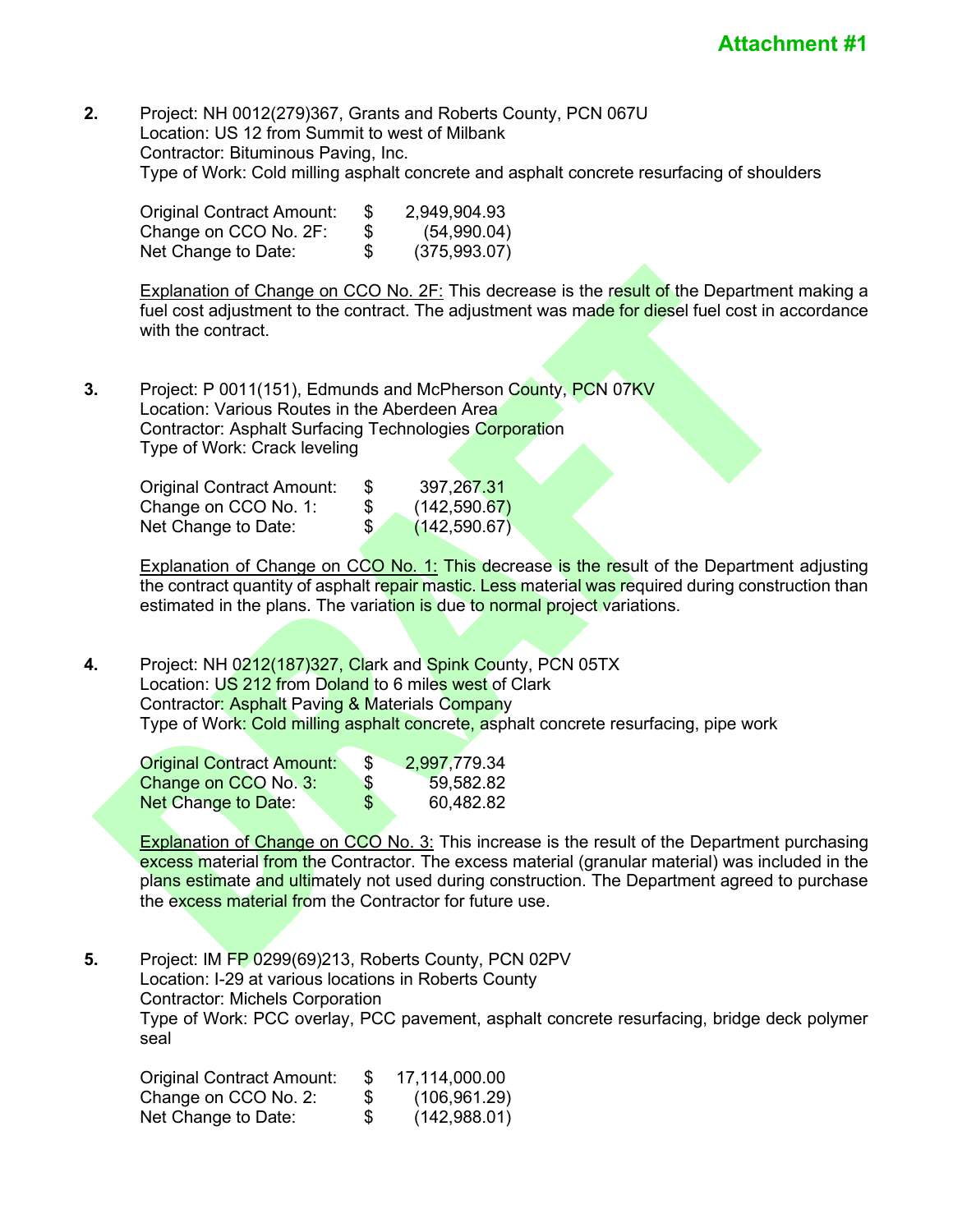**2.** Project: NH 0012(279)367, Grants and Roberts County, PCN 067U Location: US 12 from Summit to west of Milbank Contractor: Bituminous Paving, Inc. Type of Work: Cold milling asphalt concrete and asphalt concrete resurfacing of shoulders

| <b>Original Contract Amount:</b> | £. | 2,949,904.93 |
|----------------------------------|----|--------------|
| Change on CCO No. 2F:            | \$ | (54,990.04)  |
| Net Change to Date:              | \$ | (375,993.07) |

Explanation of Change on CCO No. 2F: This decrease is the result of the Department making a fuel cost adjustment to the contract. The adjustment was made for diesel fuel cost in accordance with the contract.

**3.** Project: P 0011(151), Edmunds and McPherson County, PCN 07KV Location: Various Routes in the Aberdeen Area Contractor: Asphalt Surfacing Technologies Corporation Type of Work: Crack leveling

| Original Contract Amount: | Ъ  | 397,267.31    |
|---------------------------|----|---------------|
| Change on CCO No. 1:      | \$ | (142, 590.67) |
| Net Change to Date:       | S. | (142, 590.67) |

Explanation of Change on CCO No. 1: This decrease is the result of the Department adjusting the contract quantity of asphalt repair mastic. Less material was required during construction than estimated in the plans. The variation is due to normal project variations.

**4.** Project: NH 0212(187)327, Clark and Spink County, PCN 05TX Location: US 212 from Doland to 6 miles west of Clark Contractor: Asphalt Paving & Materials Company Type of Work: Cold milling asphalt concrete, asphalt concrete resurfacing, pipe work

| <b>Original Contract Amount:</b> | \$. | 2,997,779.34 |
|----------------------------------|-----|--------------|
| Change on CCO No. 3:             | \$  | 59,582.82    |
| <b>Net Change to Date:</b>       | \$  | 60,482.82    |

**Explanation of Change on CCO No. 3: This increase is the result of the Department purchasing** excess material from the Contractor. The excess material (granular material) was included in the plans estimate and ultimately not used during construction. The Department agreed to purchase the excess material from the Contractor for future use.

**5.** Project: IM FP 0299(69)213, Roberts County, PCN 02PV Location: I-29 at various locations in Roberts County Contractor: Michels Corporation Type of Work: PCC overlay, PCC pavement, asphalt concrete resurfacing, bridge deck polymer seal

| <b>Original Contract Amount:</b> |    | 17,114,000.00 |
|----------------------------------|----|---------------|
| Change on CCO No. 2:             | S. | (106, 961.29) |
| Net Change to Date:              | \$ | (142,988.01)  |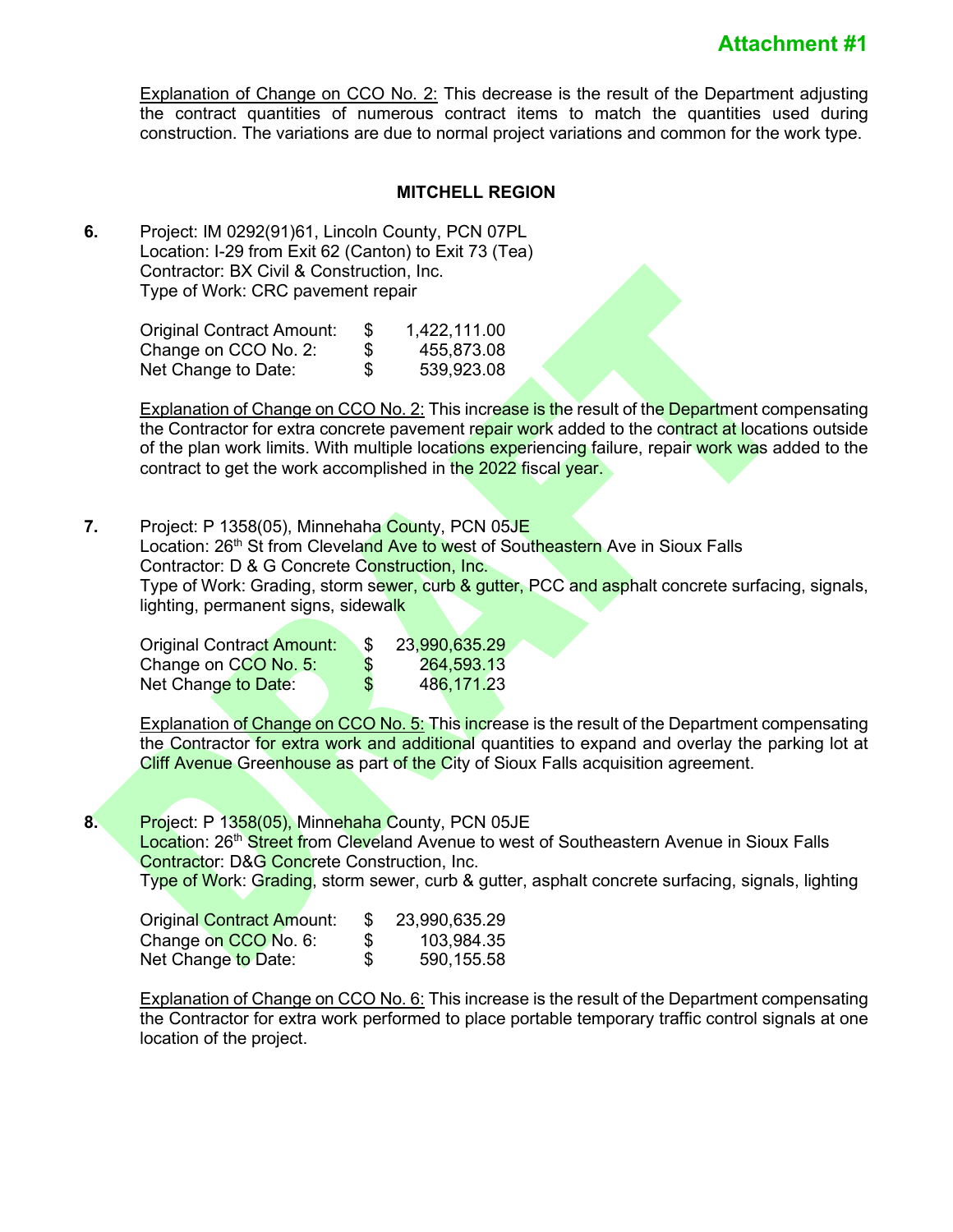Explanation of Change on CCO No. 2: This decrease is the result of the Department adjusting the contract quantities of numerous contract items to match the quantities used during construction. The variations are due to normal project variations and common for the work type.

#### **MITCHELL REGION**

**6.** Project: IM 0292(91)61, Lincoln County, PCN 07PL Location: I-29 from Exit 62 (Canton) to Exit 73 (Tea) Contractor: BX Civil & Construction, Inc. Type of Work: CRC pavement repair

| Original Contract Amount: | S  | 1,422,111.00 |
|---------------------------|----|--------------|
| Change on CCO No. 2:      | S  | 455,873.08   |
| Net Change to Date:       | \$ | 539,923.08   |

Explanation of Change on CCO No. 2: This increase is the result of the Department compensating the Contractor for extra concrete pavement repair work added to the contract at locations outside of the plan work limits. With multiple locations experiencing failure, repair work was added to the contract to get the work accomplished in the 2022 fiscal year.

**7.** Project: P 1358(05), Minnehaha County, PCN 05JE Location: 26<sup>th</sup> St from Cleveland Ave to west of Southeastern Ave in Sioux Falls Contractor: D & G Concrete Construction, Inc. Type of Work: Grading, storm sewer, curb & gutter, PCC and asphalt concrete surfacing, signals, lighting, permanent signs, sidewalk

| <b>Original Contract Amount:</b> | 23,990,635.29    |
|----------------------------------|------------------|
| Change on CCO No. 5:             | \$<br>264,593.13 |
| Net Change to Date:              | \$<br>486,171.23 |

Explanation of Change on CCO No. 5: This increase is the result of the Department compensating the Contractor for extra work and additional quantities to expand and overlay the parking lot at Cliff Avenue Greenhouse as part of the City of Sioux Falls acquisition agreement.

**8.** Project: P 1358(05), Minnehaha County, PCN 05JE

Location: 26<sup>th</sup> Street from Cleveland Avenue to west of Southeastern Avenue in Sioux Falls Contractor: D&G Concrete Construction, Inc. Type of Work: Grading, storm sewer, curb & gutter, asphalt concrete surfacing, signals, lighting

| <b>Original Contract Amount:</b> | \$. | 23,990,635.29 |
|----------------------------------|-----|---------------|
| Change on CCO No. 6:             | S   | 103,984.35    |
| Net Change to Date:              | S.  | 590,155.58    |

Explanation of Change on CCO No. 6: This increase is the result of the Department compensating the Contractor for extra work performed to place portable temporary traffic control signals at one location of the project.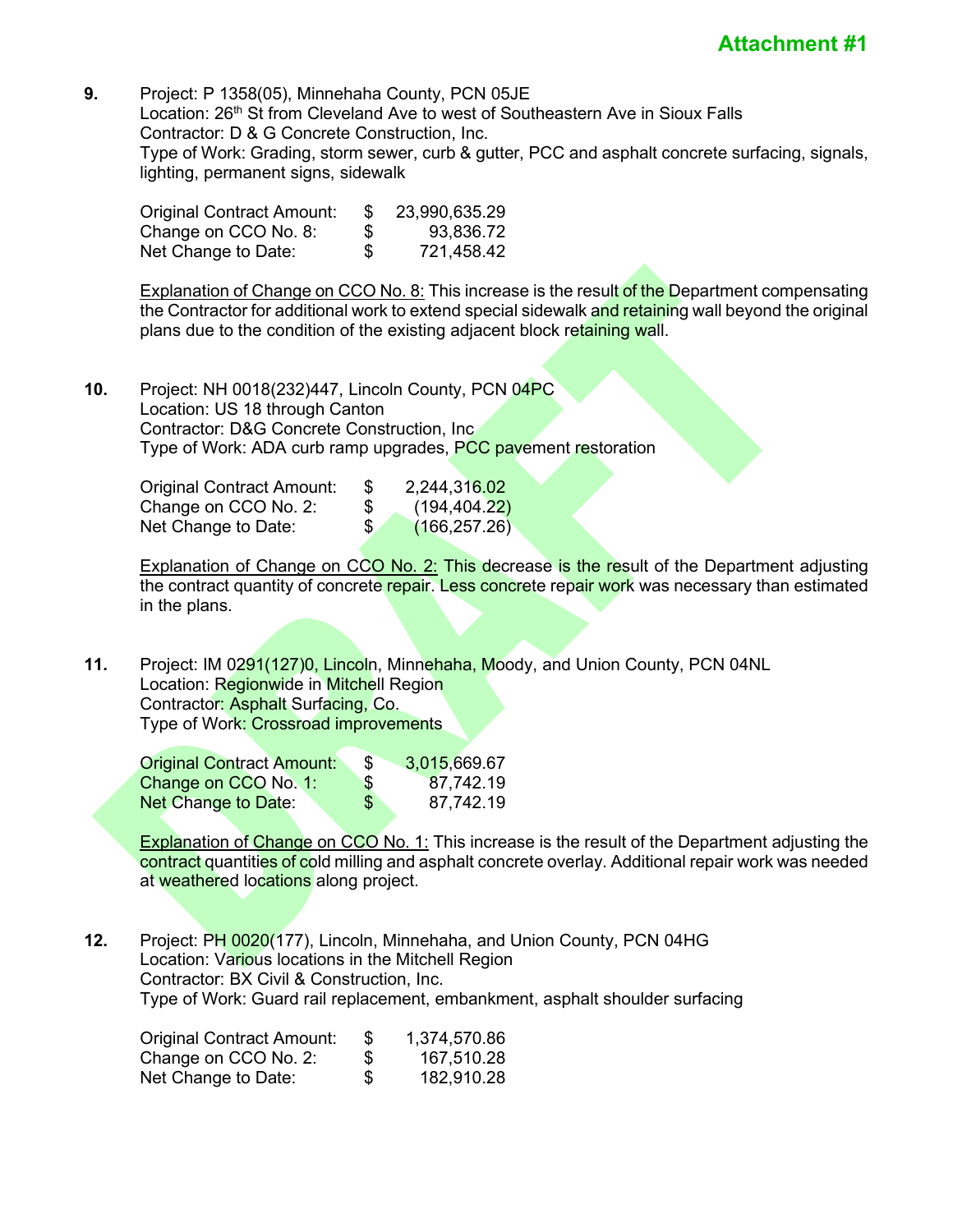**9.** Project: P 1358(05), Minnehaha County, PCN 05JE Location: 26<sup>th</sup> St from Cleveland Ave to west of Southeastern Ave in Sioux Falls Contractor: D & G Concrete Construction, Inc. Type of Work: Grading, storm sewer, curb & gutter, PCC and asphalt concrete surfacing, signals, lighting, permanent signs, sidewalk

| Original Contract Amount: | \$. | 23,990,635.29 |
|---------------------------|-----|---------------|
| Change on CCO No. 8:      | \$  | 93,836.72     |
| Net Change to Date:       | \$  | 721,458.42    |

Explanation of Change on CCO No. 8: This increase is the result of the Department compensating the Contractor for additional work to extend special sidewalk and retaining wall beyond the original plans due to the condition of the existing adjacent block retaining wall.

**10.** Project: NH 0018(232)447, Lincoln County, PCN 04PC Location: US 18 through Canton Contractor: D&G Concrete Construction, Inc Type of Work: ADA curb ramp upgrades, PCC pavement restoration

| <b>Original Contract Amount:</b> | -S   | 2,244,316.02  |
|----------------------------------|------|---------------|
| Change on CCO No. 2:             | - SS | (194, 404.22) |
| Net Change to Date:              | \$.  | (166, 257.26) |

**Explanation of Change on CCO No. 2: This decrease is the result of the Department adjusting** the contract quantity of concrete repair. Less concrete repair work was necessary than estimated in the plans.

**11.** Project: IM 0291(127)0, Lincoln, Minnehaha, Moody, and Union County, PCN 04NL Location: Regionwide in Mitchell Region Contractor: Asphalt Surfacing, Co. Type of Work: Crossroad improvements

| <b>Original Contract Amount:</b> | 3,015,669.67    |
|----------------------------------|-----------------|
| Change on CCO No. 1:             | \$<br>87,742.19 |
| Net Change to Date:              | \$<br>87,742.19 |

**Explanation of Change on CCO No. 1: This increase is the result of the Department adjusting the** contract quantities of cold milling and asphalt concrete overlay. Additional repair work was needed at weathered locations along project.

**12.** Project: PH 0020(177), Lincoln, Minnehaha, and Union County, PCN 04HG Location: Various locations in the Mitchell Region Contractor: BX Civil & Construction, Inc. Type of Work: Guard rail replacement, embankment, asphalt shoulder surfacing

| <b>Original Contract Amount:</b> | \$ | 1,374,570.86 |
|----------------------------------|----|--------------|
| Change on CCO No. 2:             | S  | 167,510.28   |
| Net Change to Date:              | \$ | 182,910.28   |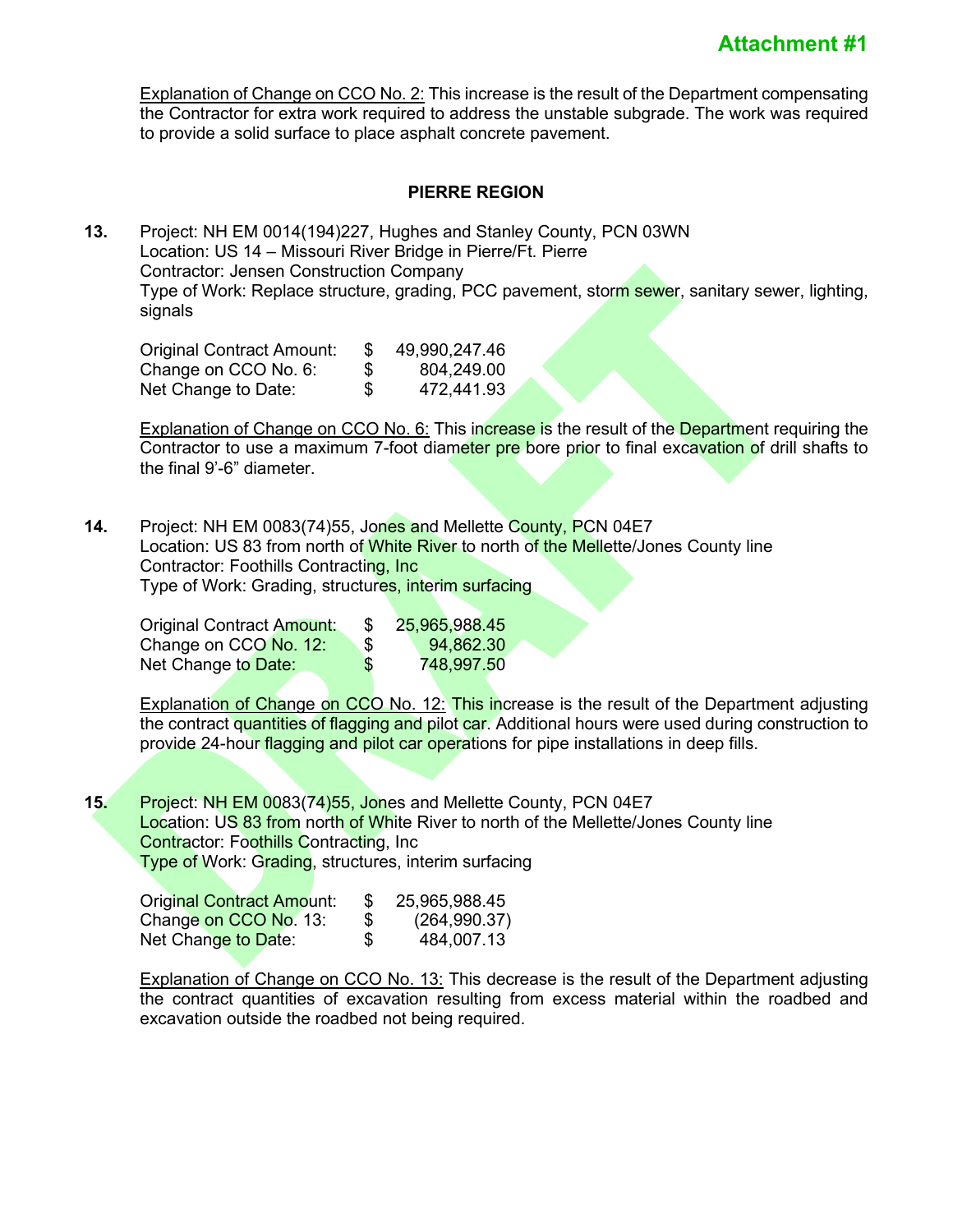Explanation of Change on CCO No. 2: This increase is the result of the Department compensating the Contractor for extra work required to address the unstable subgrade. The work was required to provide a solid surface to place asphalt concrete pavement.

# **PIERRE REGION**

**13.** Project: NH EM 0014(194)227, Hughes and Stanley County, PCN 03WN Location: US 14 – Missouri River Bridge in Pierre/Ft. Pierre Contractor: Jensen Construction Company Type of Work: Replace structure, grading, PCC pavement, storm sewer, sanitary sewer, lighting, signals

Original Contract Amount: \$ 49,990,247.46 Change on CCO No. 6:  $$804,249.00$ <br>Net Change to Date:  $$472.441.93$ Net Change to Date: \$ 472,441.93

Explanation of Change on CCO No. 6: This increase is the result of the Department requiring the Contractor to use a maximum 7-foot diameter pre bore prior to final excavation of drill shafts to the final 9'-6" diameter.

**14.** Project: NH EM 0083(74)55, Jones and Mellette County, PCN 04E7 Location: US 83 from north of White River to north of the Mellette/Jones County line Contractor: Foothills Contracting, Inc Type of Work: Grading, structures, interim surfacing

| <b>Original Contract Amount:</b> | 25,965,988.45    |
|----------------------------------|------------------|
| Change on CCO No. 12:            | \$<br>94,862.30  |
| Net Change to Date:              | \$<br>748,997.50 |

Explanation of Change on CCO No. 12: This increase is the result of the Department adjusting the contract quantities of flagging and pilot car. Additional hours were used during construction to provide 24-hour flagging and pilot car operations for pipe installations in deep fills.

**15.** Project: NH EM 0083(74)55, Jones and Mellette County, PCN 04E7 **Location: US 83 from north of White River to north of the Mellette/Jones County line** Contractor: Foothills Contracting, Inc **Type of Work: Grading, structures, interim surfacing** 

| <b>Original Contract Amount:</b> |    | 25,965,988.45 |
|----------------------------------|----|---------------|
| Change on CCO No. 13:            | \$ | (264, 990.37) |
| Net Change to Date:              | S  | 484.007.13    |

Explanation of Change on CCO No. 13: This decrease is the result of the Department adjusting the contract quantities of excavation resulting from excess material within the roadbed and excavation outside the roadbed not being required.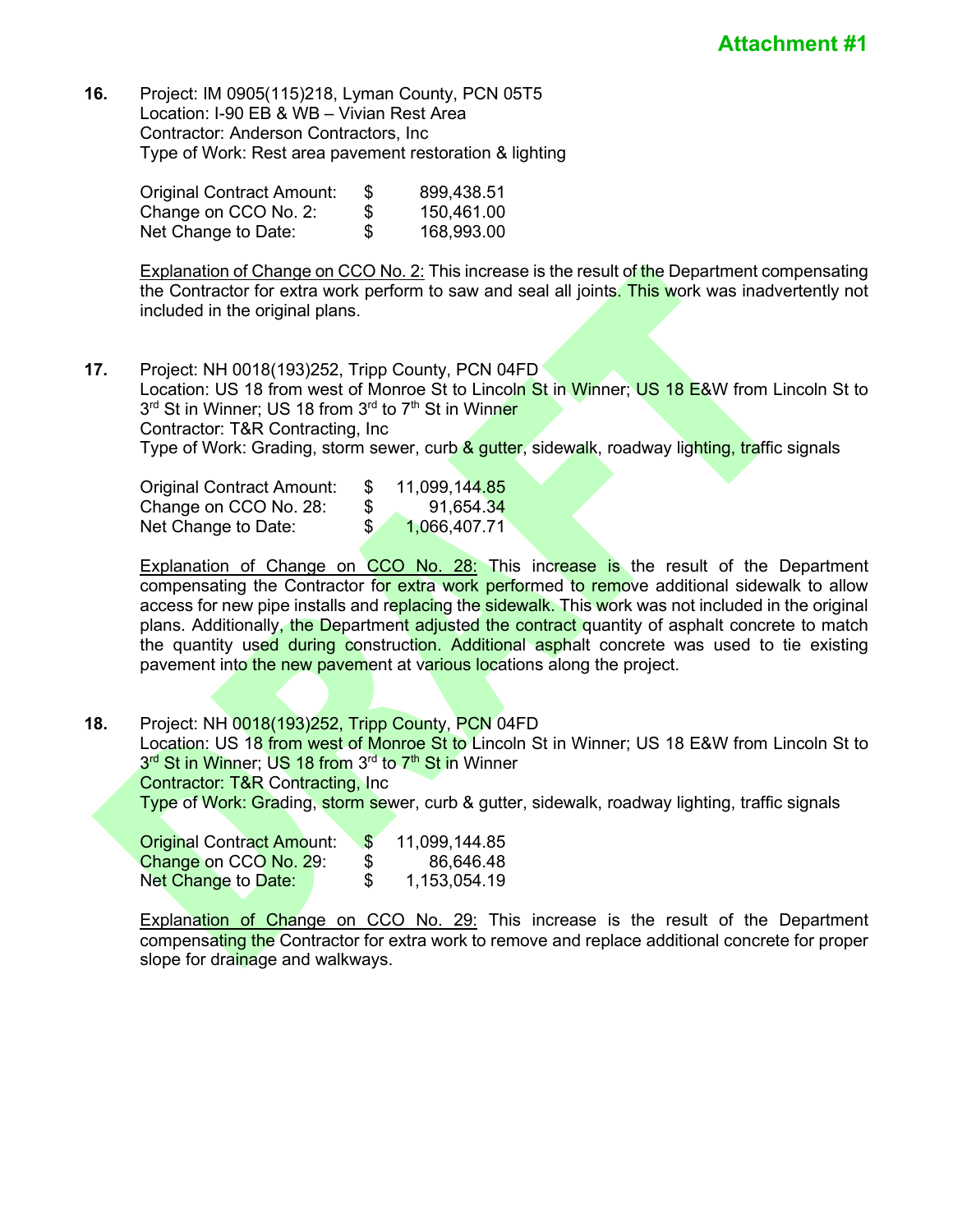**16.** Project: IM 0905(115)218, Lyman County, PCN 05T5 Location: I-90 EB & WB – Vivian Rest Area Contractor: Anderson Contractors, Inc Type of Work: Rest area pavement restoration & lighting

| Original Contract Amount: | -SS | 899,438.51 |
|---------------------------|-----|------------|
| Change on CCO No. 2:      | \$  | 150,461.00 |
| Net Change to Date:       | \$  | 168,993.00 |

**Explanation of Change on CCO No. 2:** This increase is the result of the Department compensating the Contractor for extra work perform to saw and seal all joints. This work was inadvertently not included in the original plans.

**17.** Project: NH 0018(193)252, Tripp County, PCN 04FD Location: US 18 from west of Monroe St to Lincoln St in Winner; US 18 E&W from Lincoln St to 3<sup>rd</sup> St in Winner; US 18 from 3<sup>rd</sup> to 7<sup>th</sup> St in Winner Contractor: T&R Contracting, Inc Type of Work: Grading, storm sewer, curb & gutter, sidewalk, roadway lighting, traffic signals

| Original Contract Amount: |    | 11,099,144.85 |
|---------------------------|----|---------------|
| Change on CCO No. 28:     | \$ | 91,654.34     |
| Net Change to Date:       | S. | 1,066,407.71  |

Explanation of Change on CCO No. 28: This increase is the result of the Department compensating the Contractor for extra work performed to remove additional sidewalk to allow access for new pipe installs and replacing the sidewalk. This work was not included in the original plans. Additionally, the Department adjusted the contract quantity of asphalt concrete to match the quantity used during construction. Additional asphalt concrete was used to tie existing pavement into the new pavement at various locations along the project.

**18.** Project: NH 0018(193)252, Tripp County, PCN 04FD Location: US 18 from west of Monroe St to Lincoln St in Winner; US 18 E&W from Lincoln St to 3<sup>rd</sup> St in Winner; US 18 from 3<sup>rd</sup> to 7<sup>th</sup> St in Winner Contractor: T&R Contracting, Inc Type of Work: Grading, storm sewer, curb & gutter, sidewalk, roadway lighting, traffic signals

| <b>Original Contract Amount:</b> | 11,099,144.85<br>-\$ |
|----------------------------------|----------------------|
| Change on CCO No. 29:            | 86,646.48<br>S       |
| Net Change to Date:              | 1,153,054.19<br>\$.  |

Explanation of Change on CCO No. 29: This increase is the result of the Department compensating the Contractor for extra work to remove and replace additional concrete for proper slope for drainage and walkways.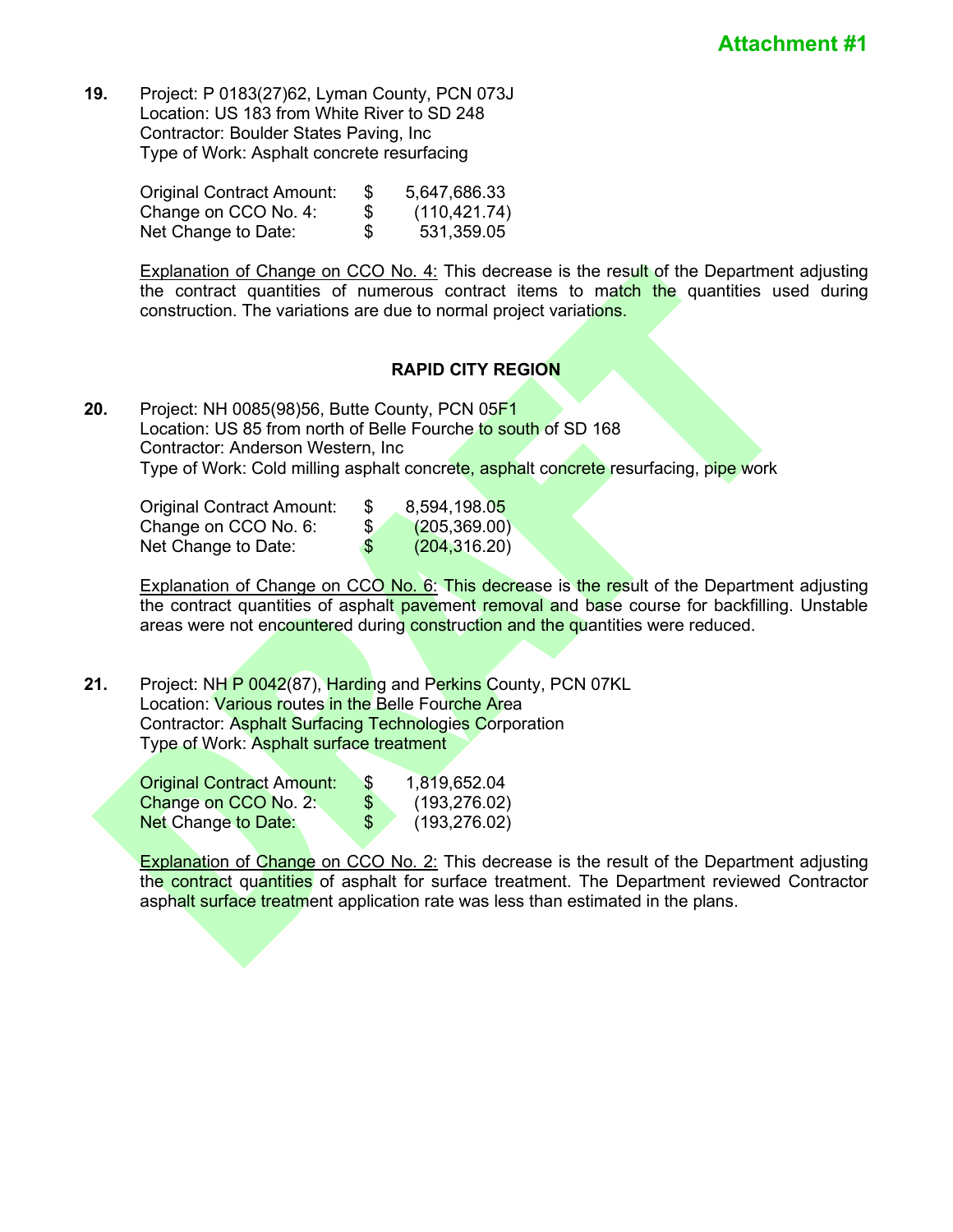**19.** Project: P 0183(27)62, Lyman County, PCN 073J Location: US 183 from White River to SD 248 Contractor: Boulder States Paving, Inc Type of Work: Asphalt concrete resurfacing

| Original Contract Amount: | 5,647,686.33        |
|---------------------------|---------------------|
| Change on CCO No. 4:      | \$<br>(110, 421.74) |
| Net Change to Date:       | \$<br>531,359.05    |

Explanation of Change on CCO No. 4: This decrease is the result of the Department adjusting the contract quantities of numerous contract items to match the quantities used during construction. The variations are due to normal project variations.

# **RAPID CITY REGION**

**20.** Project: NH 0085(98)56, Butte County, PCN 05F1 Location: US 85 from north of Belle Fourche to south of SD 168 Contractor: Anderson Western, Inc Type of Work: Cold milling asphalt concrete, asphalt concrete resurfacing, pipe work

| Original Contract Amount: | Ъ  | 8,594,198.05  |
|---------------------------|----|---------------|
| Change on CCO No. 6:      | S. | (205, 369.00) |
| Net Change to Date:       | \$ | (204, 316.20) |

Explanation of Change on CCO No. 6: This decrease is the result of the Department adjusting the contract quantities of asphalt pavement removal and base course for backfilling. Unstable areas were not encountered during construction and the quantities were reduced.

**21.** Project: NH P 0042(87), Harding and Perkins County, PCN 07KL Location: Various routes in the Belle Fourche Area Contractor: Asphalt Surfacing Technologies Corporation Type of Work: Asphalt surface treatment

| <b>Original Contract Amount:</b> | \$. | 1,819,652.04  |
|----------------------------------|-----|---------------|
| Change on CCO No. 2:             | \$  | (193, 276.02) |
| <b>Net Change to Date:</b>       | \$  | (193, 276.02) |

**Explanation of Change on CCO No. 2:** This decrease is the result of the Department adjusting the contract quantities of asphalt for surface treatment. The Department reviewed Contractor asphalt surface treatment application rate was less than estimated in the plans.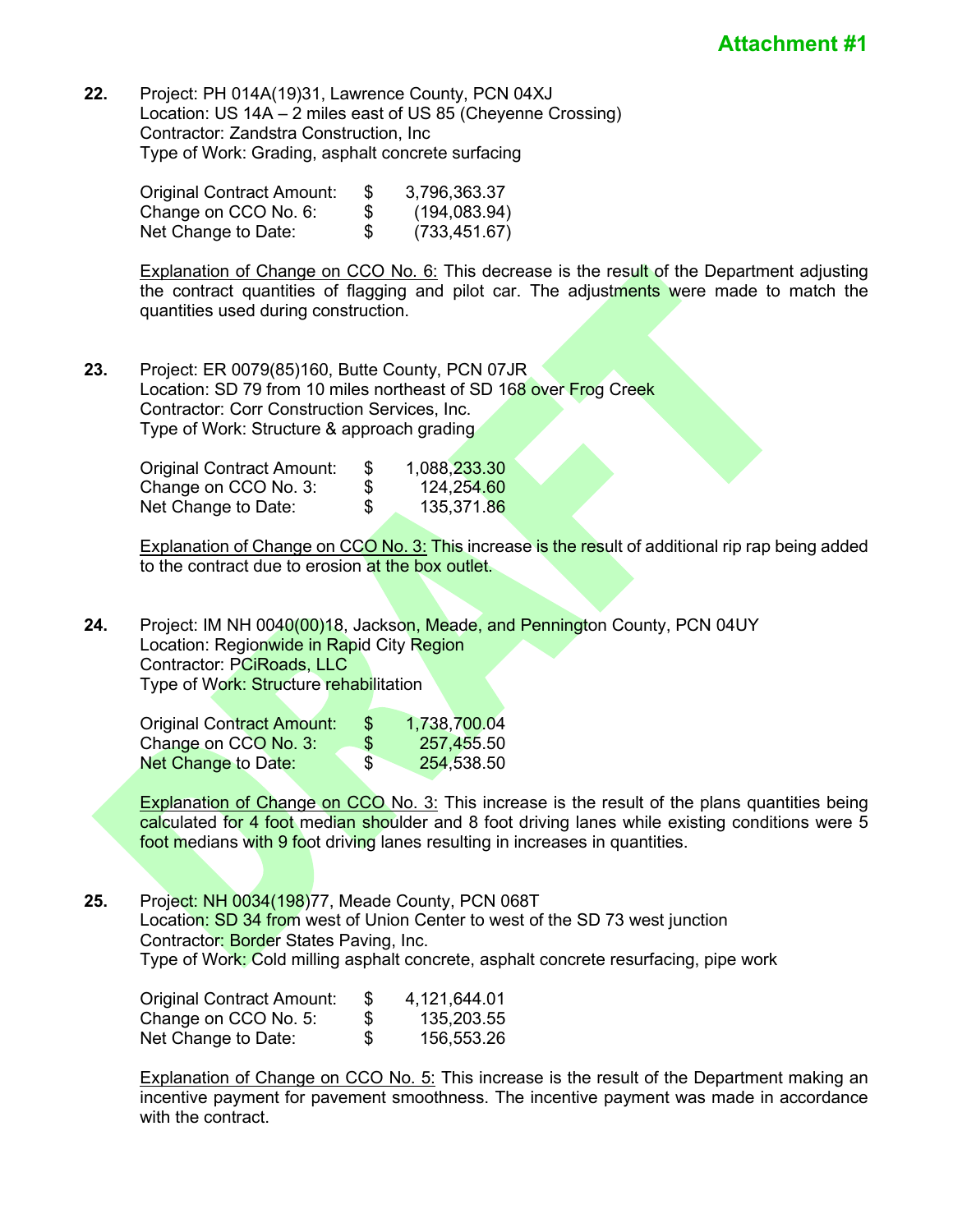**22.** Project: PH 014A(19)31, Lawrence County, PCN 04XJ Location: US 14A – 2 miles east of US 85 (Cheyenne Crossing) Contractor: Zandstra Construction, Inc Type of Work: Grading, asphalt concrete surfacing

| Original Contract Amount: | 3,796,363.37        |
|---------------------------|---------------------|
| Change on CCO No. 6:      | \$<br>(194, 083.94) |
| Net Change to Date:       | \$<br>(733, 451.67) |

**Explanation of Change on CCO No. 6:** This decrease is the result of the Department adjusting the contract quantities of flagging and pilot car. The adjustments were made to match the quantities used during construction.

**23.** Project: ER 0079(85)160, Butte County, PCN 07JR Location: SD 79 from 10 miles northeast of SD 168 over Frog Creek Contractor: Corr Construction Services, Inc. Type of Work: Structure & approach grading

| <b>Original Contract Amount:</b> | 1,088,233.30     |
|----------------------------------|------------------|
| Change on CCO No. 3:             | \$<br>124,254.60 |
| Net Change to Date:              | \$<br>135,371.86 |

Explanation of Change on CCO No. 3: This increase is the result of additional rip rap being added to the contract due to erosion at the box outlet.

**24.** Project: IM NH 0040(00)18, Jackson, Meade, and Pennington County, PCN 04UY Location: Regionwide in Rapid City Region Contractor: PCiRoads, LLC Type of Work: Structure rehabilitation

| Original Contract Amount: | \$. | 1,738,700.04 |
|---------------------------|-----|--------------|
| Change on CCO No. 3:      | \$  | 257,455.50   |
| Net Change to Date:       | \$  | 254,538.50   |

**Explanation of Change on CCO No. 3:** This increase is the result of the plans quantities being calculated for 4 foot median shoulder and 8 foot driving lanes while existing conditions were 5 foot medians with 9 foot driving lanes resulting in increases in quantities.

**25.** Project: NH 0034(198)77, Meade County, PCN 068T Location: SD 34 from west of Union Center to west of the SD 73 west junction Contractor: Border States Paving, Inc. Type of Work: Cold milling asphalt concrete, asphalt concrete resurfacing, pipe work

| Original Contract Amount: | 4,121,644.01     |
|---------------------------|------------------|
| Change on CCO No. 5:      | \$<br>135,203.55 |
| Net Change to Date:       | \$<br>156,553.26 |

**Explanation of Change on CCO No. 5:** This increase is the result of the Department making an incentive payment for pavement smoothness. The incentive payment was made in accordance with the contract.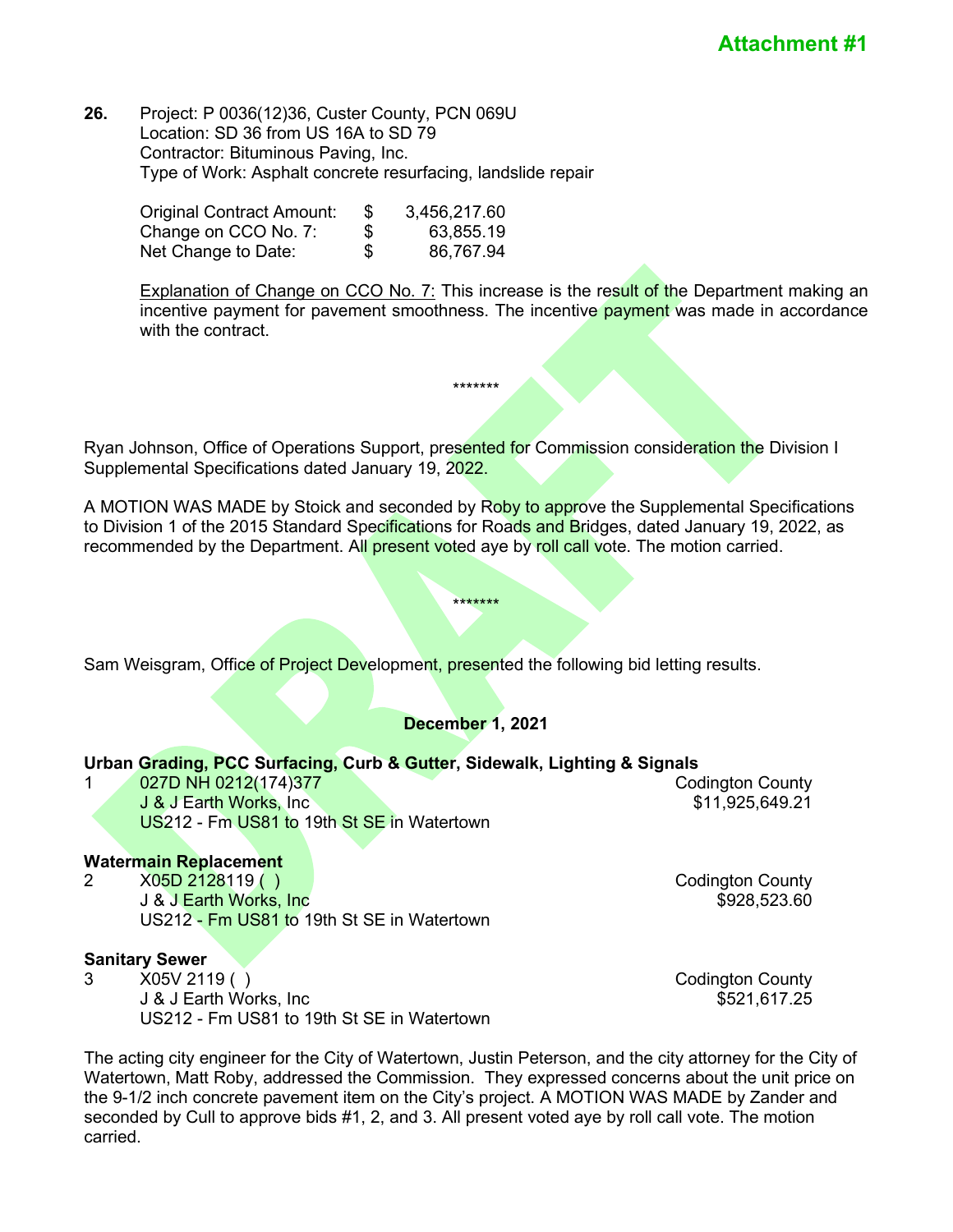#### **26.** Project: P 0036(12)36, Custer County, PCN 069U Location: SD 36 from US 16A to SD 79 Contractor: Bituminous Paving, Inc. Type of Work: Asphalt concrete resurfacing, landslide repair

| <b>Original Contract Amount:</b> | \$<br>3,456,217.60 |
|----------------------------------|--------------------|
| Change on CCO No. 7:             | \$<br>63,855.19    |
| Net Change to Date:              | \$<br>86,767.94    |

Explanation of Change on CCO No. 7: This increase is the result of the Department making an incentive payment for pavement smoothness. The incentive payment was made in accordance with the contract.

Ryan Johnson, Office of Operations Support, presented for Commission consideration the Division I Supplemental Specifications dated January 19, 2022.

\*\*\*\*\*\*\*

A MOTION WAS MADE by Stoick and seconded by Roby to approve the Supplemental Specifications to Division 1 of the 2015 Standard Specifications for Roads and Bridges, dated January 19, 2022, as recommended by the Department. All present voted aye by roll call vote. The motion carried.

\*\*\*\*\*\*\*

Sam Weisgram, Office of Project Development, presented the following bid letting results.

# **December 1, 2021**

#### **Urban Grading, PCC Surfacing, Curb & Gutter, Sidewalk, Lighting & Signals**

1 027D NH 0212(174)377 Codington County **J & J Earth Works, Inc \$11,925,649.21** US212 - Fm US81 to 19th St SE in Watertown

# Watermain Replacement<br>2 X05D 2128119 ( )

X05D 2128119 ( ) 2008 2009 2009 2009 2009 2128119 Codington County J & J Earth Works, Inc \$928,523.60 US212 - Fm US81 to 19th St SE in Watertown

#### **Sanitary Sewer**

3 X05V 2119 ( ) Codington County J & J Earth Works, Inc \$521,617.25 US212 - Fm US81 to 19th St SE in Watertown

The acting city engineer for the City of Watertown, Justin Peterson, and the city attorney for the City of Watertown, Matt Roby, addressed the Commission. They expressed concerns about the unit price on the 9-1/2 inch concrete pavement item on the City's project. A MOTION WAS MADE by Zander and seconded by Cull to approve bids #1, 2, and 3. All present voted aye by roll call vote. The motion carried.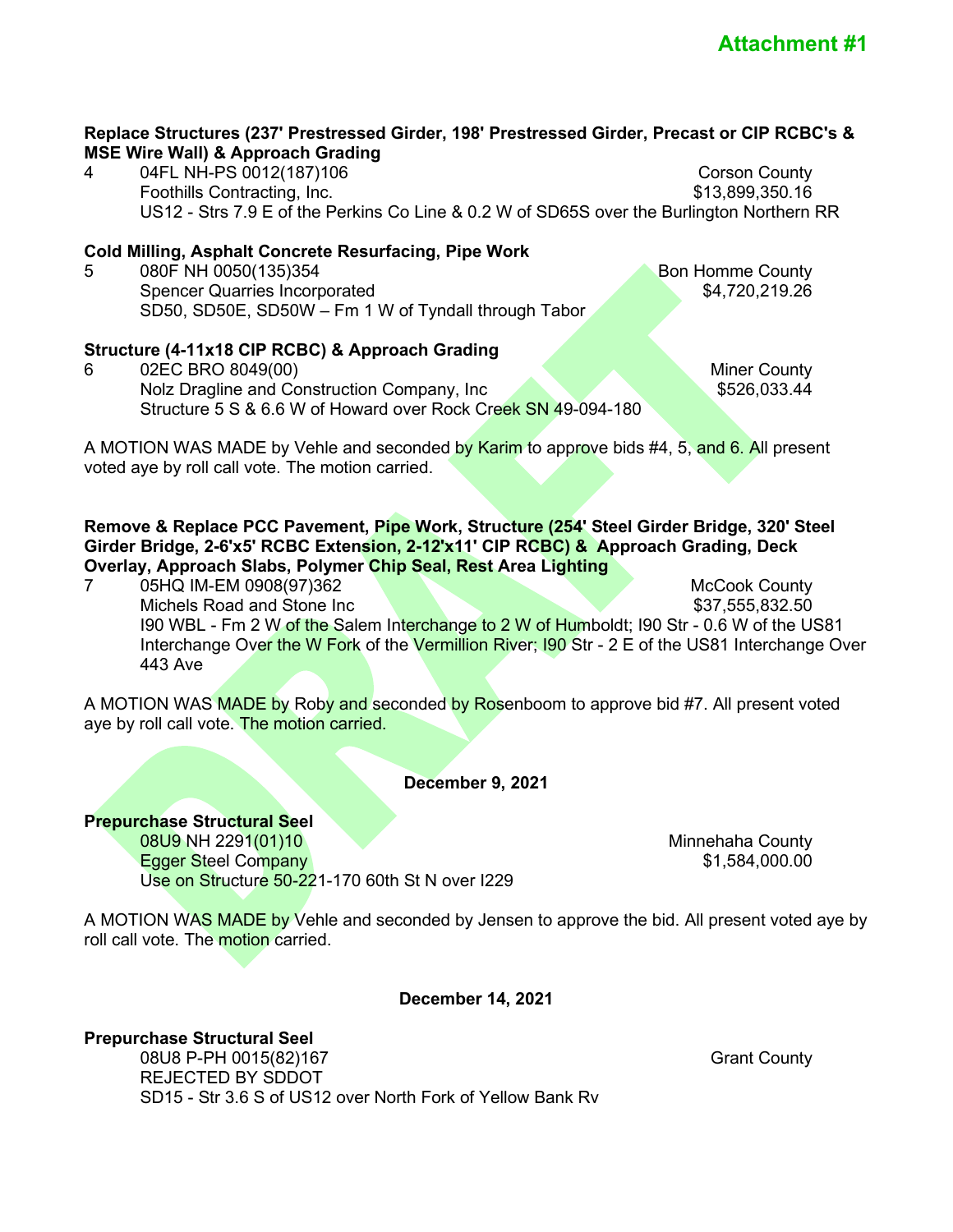#### **Replace Structures (237' Prestressed Girder, 198' Prestressed Girder, Precast or CIP RCBC's & MSE Wire Wall) & Approach Grading**

4 04FL NH-PS 0012(187)106 Corson County Foothills Contracting, Inc. 6. The Solution of the Second State of States and States States States States States States States States States States States States States States States States States States States States Stat US12 - Strs 7.9 E of the Perkins Co Line & 0.2 W of SD65S over the Burlington Northern RR

# **Cold Milling, Asphalt Concrete Resurfacing, Pipe Work**

5 080F NH 0050(135)354 Bon Homme County Spencer Quarries Incorporated SD50, SD50E, SD50W – Fm 1 W of Tyndall through Tabor

# **Structure (4-11x18 CIP RCBC) & Approach Grading**

6 02EC BRO 8049(00) Miner County Nolz Dragline and Construction Company, Inc \$526,033.44 Structure 5 S & 6.6 W of Howard over Rock Creek SN 49-094-180

A MOTION WAS MADE by Vehle and seconded by Karim to approve bids #4, 5, and 6. All present voted aye by roll call vote. The motion carried.

**Remove & Replace PCC Pavement, Pipe Work, Structure (254' Steel Girder Bridge, 320' Steel Girder Bridge, 2-6'x5' RCBC Extension, 2-12'x11' CIP RCBC) & Approach Grading, Deck Overlay, Approach Slabs, Polymer Chip Seal, Rest Area Lighting**

7 05HQ IM-EM 0908(97)362 McCook County Michels Road and Stone Inc  $$37,555,832.50$ I90 WBL - Fm 2 W of the Salem Interchange to 2 W of Humboldt; I90 Str - 0.6 W of the US81 Interchange Over the W Fork of the Vermillion River; 190 Str - 2 E of the US81 Interchange Over 443 Ave

A MOTION WAS MADE by Roby and seconded by Rosenboom to approve bid #7. All present voted aye by roll call vote. The motion carried.

**December 9, 2021**

**Prepurchase Structural Seel 08U9 NH 2291(01)10 Minnehaha County** Egger Steel Company and the steel of the steel of the steel of the steel of the steel of the steel of the steel of the steel of the steel of the steel of the steel of the steel of the steel of the steel of the steel of the Use on Structure 50-221-170 60th St N over I229

A MOTION WAS MADE by Vehle and seconded by Jensen to approve the bid. All present voted aye by roll call vote. The motion carried.

**December 14, 2021**

**Prepurchase Structural Seel**  08U8 P-PH 0015(82)167 Grant County REJECTED BY SDDOT SD15 - Str 3.6 S of US12 over North Fork of Yellow Bank Rv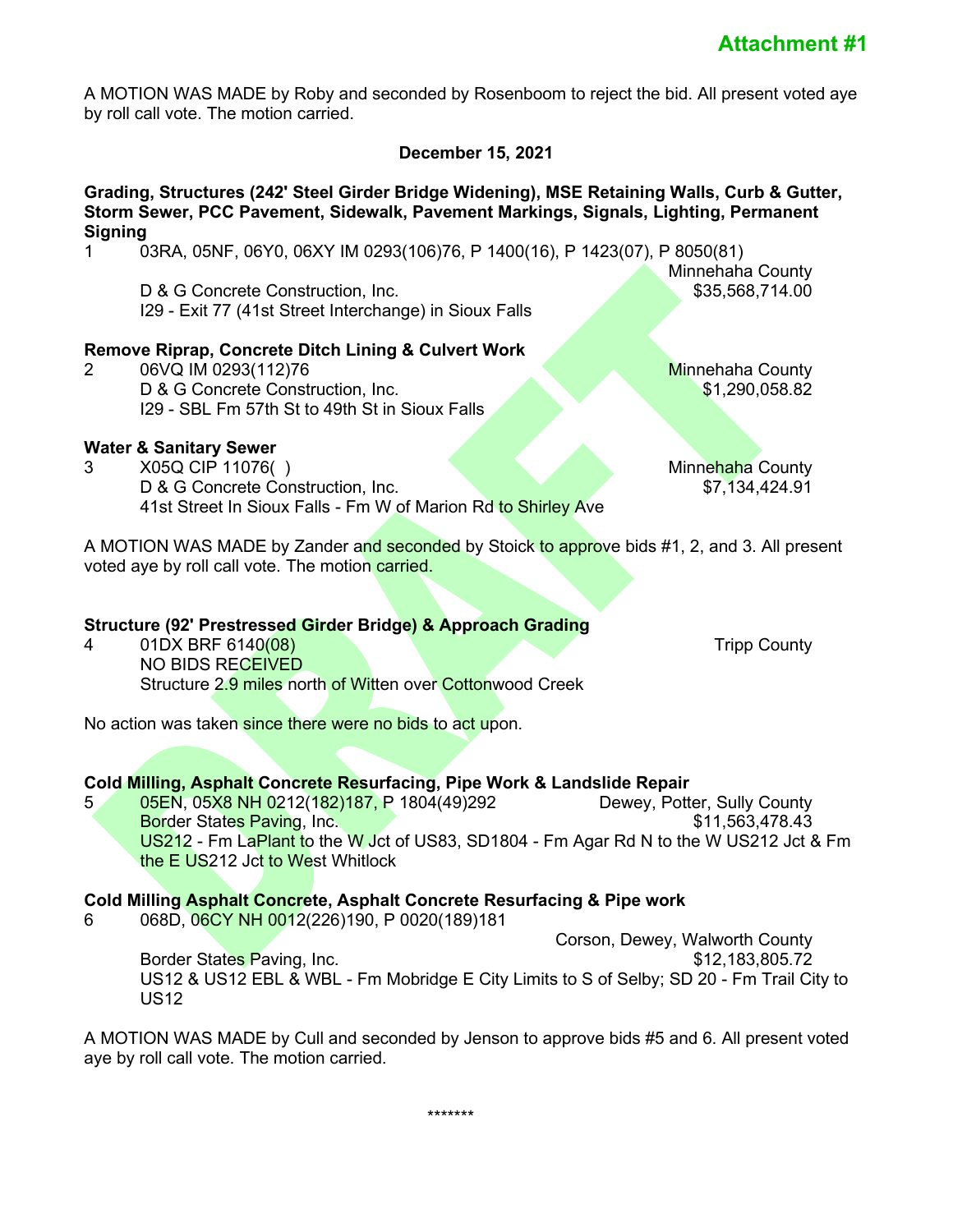A MOTION WAS MADE by Roby and seconded by Rosenboom to reject the bid. All present voted aye by roll call vote. The motion carried.

# **December 15, 2021**

#### **Grading, Structures (242' Steel Girder Bridge Widening), MSE Retaining Walls, Curb & Gutter, Storm Sewer, PCC Pavement, Sidewalk, Pavement Markings, Signals, Lighting, Permanent Signing**

1 03RA, 05NF, 06Y0, 06XY IM 0293(106)76, P 1400(16), P 1423(07), P 8050(81)

D & G Concrete Construction, Inc. I29 - Exit 77 (41st Street Interchange) in Sioux Falls

# **Remove Riprap, Concrete Ditch Lining & Culvert Work**

2 06VQ IM 0293(112)76 Minnehaha County D & G Concrete Construction, Inc. \$1,290,058.82 I29 - SBL Fm 57th St to 49th St in Sioux Falls

# **Water & Sanitary Sewer**

3 X05Q CIP 11076( ) Minnehaha County D & G Concrete Construction, Inc.  $\overline{S7,134,424.91}$ 41st Street In Sioux Falls - Fm W of Marion Rd to Shirley Ave

A MOTION WAS MADE by Zander and seconded by Stoick to approve bids #1, 2, and 3. All present voted aye by roll call vote. The motion carried.

# **Structure (92' Prestressed Girder Bridge) & Approach Grading**

4 01DX BRF 6140(08) Tripp County NO BIDS RECEIVED Structure 2.9 miles north of Witten over Cottonwood Creek

No action was taken since there were no bids to act upon.

### **Cold Milling, Asphalt Concrete Resurfacing, Pipe Work & Landslide Repair**

5 05EN, 05X8 NH 0212(182)187, P 1804(49)292 Dewey, Potter, Sully County Border States Paving, Inc. **\$11,563,478.43 \$11,563,478.43** US212 - Fm LaPlant to the W Jct of US83, SD1804 - Fm Agar Rd N to the W US212 Jct & Fm the E US212 Jct to West Whitlock

#### **Cold Milling Asphalt Concrete, Asphalt Concrete Resurfacing & Pipe work**

6 068D, 06CY NH 0012(226)190, P 0020(189)181

 Corson, Dewey, Walworth County Border States Paving, Inc. \$12,183,805.72 US12 & US12 EBL & WBL - Fm Mobridge E City Limits to S of Selby; SD 20 - Fm Trail City to US12

A MOTION WAS MADE by Cull and seconded by Jenson to approve bids #5 and 6. All present voted aye by roll call vote. The motion carried.

\*\*\*\*\*\*\*

Minnehaha County<br>S35,568,714.00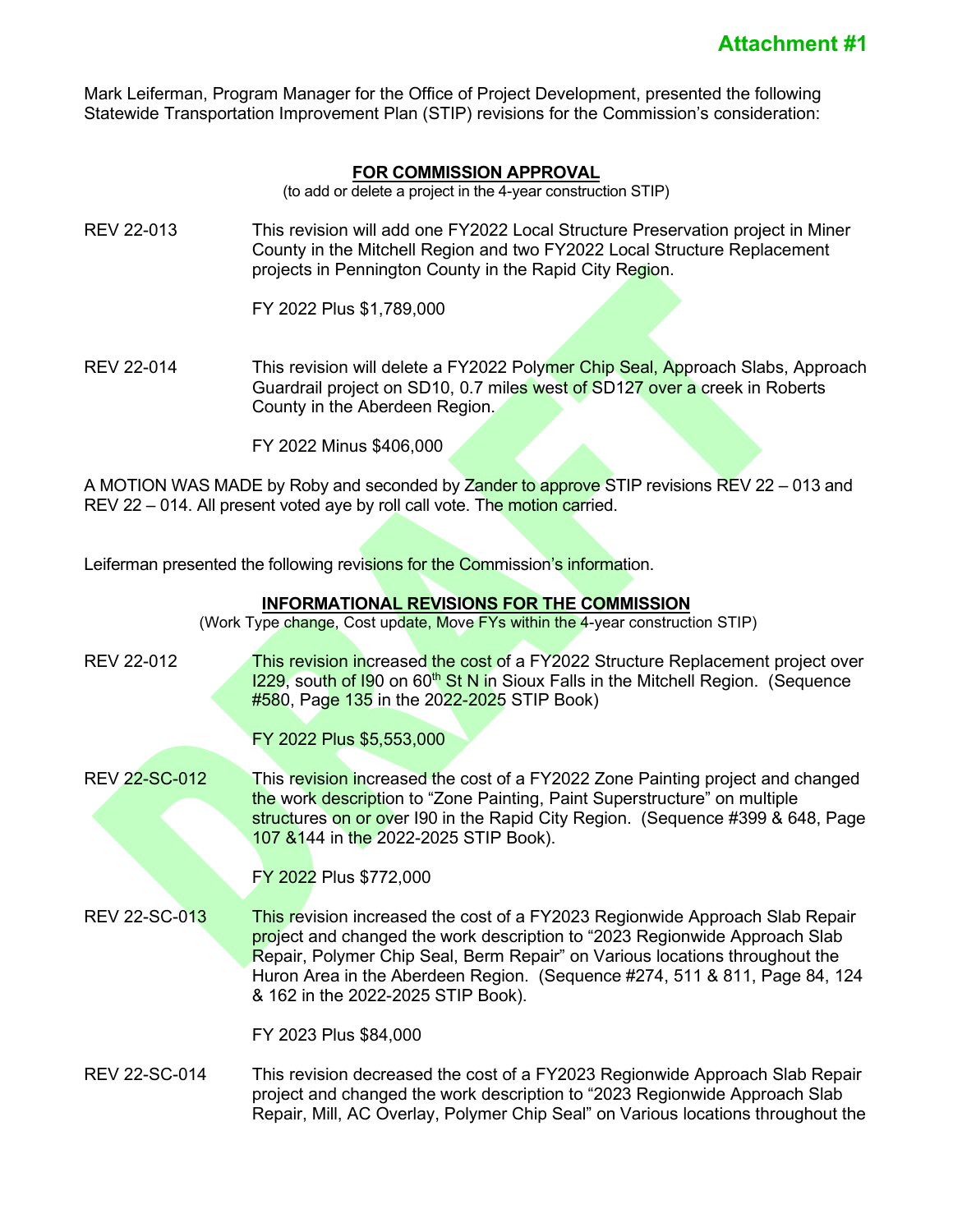Mark Leiferman, Program Manager for the Office of Project Development, presented the following Statewide Transportation Improvement Plan (STIP) revisions for the Commission's consideration:

### **FOR COMMISSION APPROVAL**

(to add or delete a project in the 4-year construction STIP)

REV 22-013 This revision will add one FY2022 Local Structure Preservation project in Miner County in the Mitchell Region and two FY2022 Local Structure Replacement projects in Pennington County in the Rapid City Region.

FY 2022 Plus \$1,789,000

REV 22-014 This revision will delete a FY2022 Polymer Chip Seal, Approach Slabs, Approach Guardrail project on SD10, 0.7 miles west of SD127 over a creek in Roberts County in the Aberdeen Region.

FY 2022 Minus \$406,000

A MOTION WAS MADE by Roby and seconded by Zander to approve STIP revisions REV 22 – 013 and REV 22 – 014. All present voted aye by roll call vote. The motion carried.

Leiferman presented the following revisions for the Commission's information.

#### **INFORMATIONAL REVISIONS FOR THE COMMISSION**

(Work Type change, Cost update, Move FYs within the 4-year construction STIP)

- REV 22-012 **This revision in**creased the cost of a FY2022 Structure Replacement project over  $1229$ , south of I90 on 60<sup>th</sup> St N in Sioux Falls in the Mitchell Region. (Sequence  $#580$ , Page 135 in the 2022-2025 STIP Book)
	- FY 2022 Plus \$5,553,000
- REV 22-SC-012 This revision increased the cost of a FY2022 Zone Painting project and changed the work description to "Zone Painting, Paint Superstructure" on multiple structures on or over I90 in the Rapid City Region. (Sequence #399 & 648, Page 107 &144 in the 2022-2025 STIP Book).

#### FY 2022 Plus \$772,000

REV 22-SC-013 This revision increased the cost of a FY2023 Regionwide Approach Slab Repair project and changed the work description to "2023 Regionwide Approach Slab Repair, Polymer Chip Seal, Berm Repair" on Various locations throughout the Huron Area in the Aberdeen Region. (Sequence #274, 511 & 811, Page 84, 124 & 162 in the 2022-2025 STIP Book).

FY 2023 Plus \$84,000

REV 22-SC-014 This revision decreased the cost of a FY2023 Regionwide Approach Slab Repair project and changed the work description to "2023 Regionwide Approach Slab Repair, Mill, AC Overlay, Polymer Chip Seal" on Various locations throughout the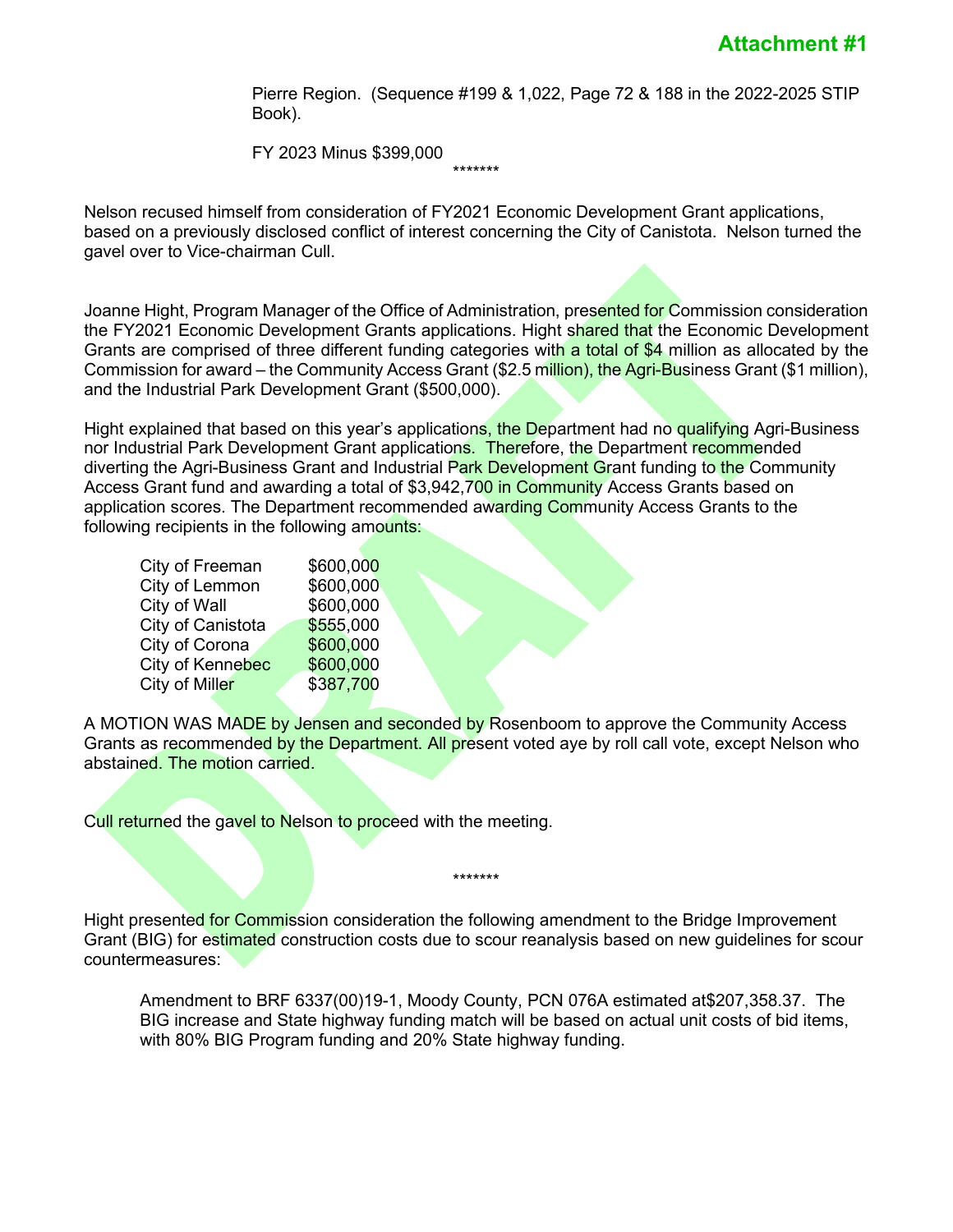Pierre Region. (Sequence #199 & 1,022, Page 72 & 188 in the 2022-2025 STIP Book).

FY 2023 Minus \$399,000

Nelson recused himself from consideration of FY2021 Economic Development Grant applications, based on a previously disclosed conflict of interest concerning the City of Canistota. Nelson turned the gavel over to Vice-chairman Cull.

\*\*\*\*\*\*\*

Joanne Hight, Program Manager of the Office of Administration, presented for Commission consideration the FY2021 Economic Development Grants applications. Hight shared that the Economic Development Grants are comprised of three different funding categories with a total of \$4 million as allocated by the Commission for award – the Community Access Grant (\$2.5 million), the Agri-Business Grant (\$1 million), and the Industrial Park Development Grant (\$500,000).

Hight explained that based on this year's applications, the Department had no qualifying Agri-Business nor Industrial Park Development Grant applications. Therefore, the Department recommended diverting the Agri-Business Grant and Industrial Park Development Grant funding to the Community Access Grant fund and awarding a total of \$3,942,700 in Community Access Grants based on application scores. The Department recommended awarding Community Access Grants to the following recipients in the following amounts:

| City of Freeman   | \$600,000 |
|-------------------|-----------|
| City of Lemmon    | \$600,000 |
| City of Wall      | \$600,000 |
| City of Canistota | \$555,000 |
| City of Corona    | \$600,000 |
| City of Kennebec  | \$600,000 |
| City of Miller    | \$387,700 |
|                   |           |

A MOTION WAS MADE by Jensen and seconded by Rosenboom to approve the Community Access Grants as recommended by the Department. All present voted aye by roll call vote, except Nelson who abstained. The motion carried.

Cull returned the gavel to Nelson to proceed with the meeting.

Hight presented for Commission consideration the following amendment to the Bridge Improvement Grant (BIG) for estimated construction costs due to scour reanalysis based on new guidelines for scour countermeasures:

\*\*\*\*\*\*\*

Amendment to BRF 6337(00)19-1, Moody County, PCN 076A estimated at\$207,358.37. The BIG increase and State highway funding match will be based on actual unit costs of bid items, with 80% BIG Program funding and 20% State highway funding.